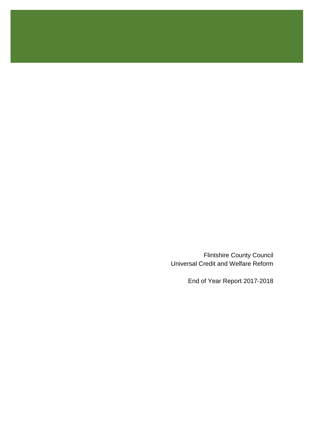Flintshire County Council Universal Credit and Welfare Reform

End of Year Report 2017-2018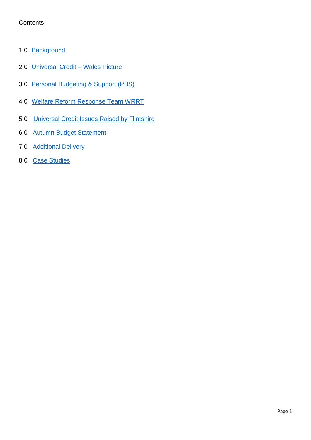# **Contents**

- 1.0 [Background](#page-2-0)
- 2.0 [Universal Credit –](#page-2-1) Wales Picture
- 3.0 [Personal Budgeting & Support](#page-3-0) (PBS)
- 4.0 [Welfare Reform Response Team WRRT](#page-6-0)
- 5.0 [Universal Credit Issues Raised by Flintshire](#page-8-0)
- 6.0 [Autumn Budget Statement](#page-9-0)
- 7.0 [Additional Delivery](#page-10-0)
- 8.0 [Case Studies](#page-12-0)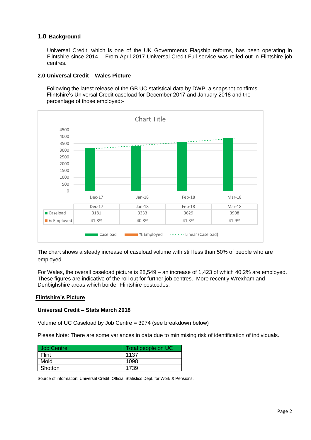### <span id="page-2-0"></span>**1.0 Background**

Universal Credit, which is one of the UK Governments Flagship reforms, has been operating in Flintshire since 2014. From April 2017 Universal Credit Full service was rolled out in Flintshire job centres.

### <span id="page-2-1"></span>**2.0 Universal Credit – Wales Picture**

 Following the latest release of the GB UC statistical data by DWP, a snapshot confirms Flintshire's Universal Credit caseload for December 2017 and January 2018 and the percentage of those employed:-



The chart shows a steady increase of caseload volume with still less than 50% of people who are employed.

For Wales, the overall caseload picture is 28,549 – an increase of 1,423 of which 40.2% are employed. These figures are indicative of the roll out for further job centres. More recently Wrexham and Denbighshire areas which border Flintshire postcodes.

#### **Flintshire's Picture**

#### **Universal Credit – Stats March 2018**

Volume of UC Caseload by Job Centre = 3974 (see breakdown below)

Please Note: There are some variances in data due to minimising risk of identification of individuals.

| Job Centre | Total people on UC |  |
|------------|--------------------|--|
| Flint      | 1137               |  |
| Mold       | 1098               |  |
| Shotton    | 1739               |  |

Source of information: Universal Credit: Official Statistics Dept. for Work & Pensions.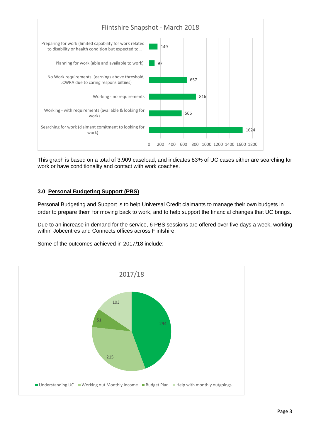

This graph is based on a total of 3,909 caseload, and indicates 83% of UC cases either are searching for work or have conditionality and contact with work coaches.

## <span id="page-3-0"></span>**3.0 Personal Budgeting Support (PBS)**

Personal Budgeting and Support is to help Universal Credit claimants to manage their own budgets in order to prepare them for moving back to work, and to help support the financial changes that UC brings.

Due to an increase in demand for the service, 6 PBS sessions are offered over five days a week, working within Jobcentres and Connects offices across Flintshire.

Some of the outcomes achieved in 2017/18 include:

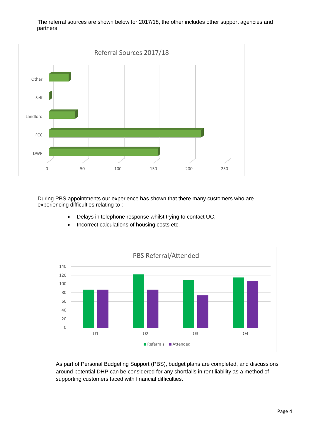The referral sources are shown below for 2017/18, the other includes other support agencies and partners.



During PBS appointments our experience has shown that there many customers who are experiencing difficulties relating to :-

- Delays in telephone response whilst trying to contact UC,
- Incorrect calculations of housing costs etc.



As part of Personal Budgeting Support (PBS), budget plans are completed, and discussions around potential DHP can be considered for any shortfalls in rent liability as a method of supporting customers faced with financial difficulties.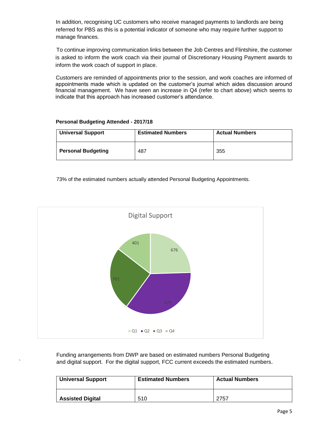In addition, recognising UC customers who receive managed payments to landlords are being referred for PBS as this is a potential indicator of someone who may require further support to manage finances.

To continue improving communication links between the Job Centres and Flintshire, the customer is asked to inform the work coach via their journal of Discretionary Housing Payment awards to inform the work coach of support in place.

Customers are reminded of appointments prior to the session, and work coaches are informed of appointments made which is updated on the customer's journal which aides discussion around financial management. We have seen an increase in Q4 (refer to chart above) which seems to indicate that this approach has increased customer's attendance.

#### **Personal Budgeting Attended - 2017/18**

| <b>Universal Support</b>  | <b>Estimated Numbers</b> | <b>Actual Numbers</b> |  |
|---------------------------|--------------------------|-----------------------|--|
| <b>Personal Budgeting</b> | 487                      | 355                   |  |

73% of the estimated numbers actually attended Personal Budgeting Appointments.



Funding arrangements from DWP are based on estimated numbers Personal Budgeting ` and digital support. For the digital support, FCC current exceeds the estimated numbers.

| <b>Universal Support</b> | <b>Estimated Numbers</b> | <b>Actual Numbers</b> |  |
|--------------------------|--------------------------|-----------------------|--|
| <b>Assisted Digital</b>  | 510                      | 2757                  |  |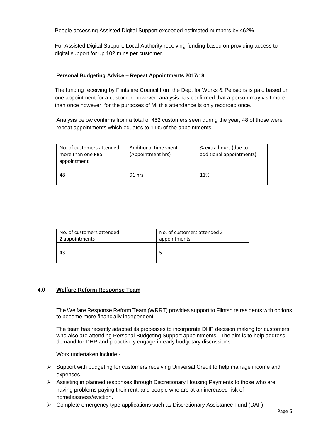People accessing Assisted Digital Support exceeded estimated numbers by 462%.

For Assisted Digital Support, Local Authority receiving funding based on providing access to digital support for up 102 mins per customer.

### **Personal Budgeting Advice – Repeat Appointments 2017/18**

The funding receiving by Flintshire Council from the Dept for Works & Pensions is paid based on one appointment for a customer, however, analysis has confirmed that a person may visit more than once however, for the purposes of MI this attendance is only recorded once.

Analysis below confirms from a total of 452 customers seen during the year, 48 of those were repeat appointments which equates to 11% of the appointments.

| No. of customers attended<br>more than one PBS<br>appointment | Additional time spent<br>(Appointment hrs) | % extra hours (due to<br>additional appointments) |
|---------------------------------------------------------------|--------------------------------------------|---------------------------------------------------|
| 48                                                            | 91 hrs                                     | 11%                                               |

| No. of customers attended | No. of customers attended 3 |
|---------------------------|-----------------------------|
| 2 appointments            | appointments                |
|                           |                             |
| 43                        |                             |
|                           |                             |

#### <span id="page-6-0"></span>**4.0 Welfare Reform Response Team**

The Welfare Response Reform Team (WRRT) provides support to Flintshire residents with options to become more financially independent.

The team has recently adapted its processes to incorporate DHP decision making for customers who also are attending Personal Budgeting Support appointments. The aim is to help address demand for DHP and proactively engage in early budgetary discussions.

Work undertaken include:-

- $\triangleright$  Support with budgeting for customers receiving Universal Credit to help manage income and expenses.
- $\triangleright$  Assisting in planned responses through Discretionary Housing Payments to those who are having problems paying their rent, and people who are at an increased risk of homelessness/eviction.
- $\triangleright$  Complete emergency type applications such as Discretionary Assistance Fund (DAF).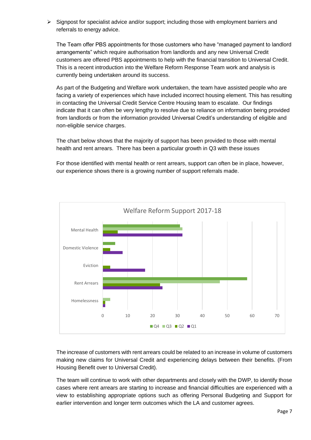$\triangleright$  Signpost for specialist advice and/or support; including those with employment barriers and referrals to energy advice.

The Team offer PBS appointments for those customers who have "managed payment to landlord arrangements" which require authorisation from landlords and any new Universal Credit customers are offered PBS appointments to help with the financial transition to Universal Credit. This is a recent introduction into the Welfare Reform Response Team work and analysis is currently being undertaken around its success.

As part of the Budgeting and Welfare work undertaken, the team have assisted people who are facing a variety of experiences which have included incorrect housing element. This has resulting in contacting the Universal Credit Service Centre Housing team to escalate. Our findings indicate that it can often be very lengthy to resolve due to reliance on information being provided from landlords or from the information provided Universal Credit's understanding of eligible and non-eligible service charges.

The chart below shows that the majority of support has been provided to those with mental health and rent arrears. There has been a particular growth in Q3 with these issues

For those identified with mental health or rent arrears, support can often be in place, however, our experience shows there is a growing number of support referrals made.



The increase of customers with rent arrears could be related to an increase in volume of customers making new claims for Universal Credit and experiencing delays between their benefits. (From Housing Benefit over to Universal Credit).

The team will continue to work with other departments and closely with the DWP, to identify those cases where rent arrears are starting to increase and financial difficulties are experienced with a view to establishing appropriate options such as offering Personal Budgeting and Support for earlier intervention and longer term outcomes which the LA and customer agrees.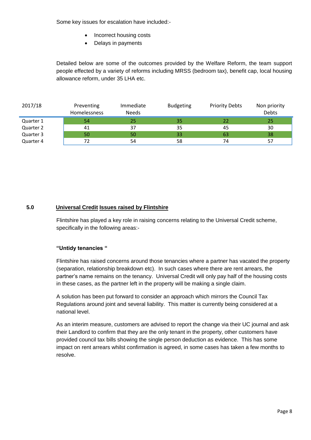Some key issues for escalation have included:-

- Incorrect housing costs
- Delays in payments

Detailed below are some of the outcomes provided by the Welfare Reform, the team support people effected by a variety of reforms including MRSS (bedroom tax), benefit cap, local housing allowance reform, under 35 LHA etc.

| 2017/18   | Preventing<br><b>Homelessness</b> | Immediate<br><b>Needs</b> | <b>Budgeting</b> | <b>Priority Debts</b> | Non priority<br><b>Debts</b> |
|-----------|-----------------------------------|---------------------------|------------------|-----------------------|------------------------------|
| Quarter 1 | 54                                | 25                        | 35               | 22                    | -25                          |
| Quarter 2 | 41                                | 37                        | 35               | 45                    | 30                           |
| Quarter 3 | 50                                | 50                        | 33               | 63                    | 38                           |
| Quarter 4 | 72                                | 54                        | 58               | 74                    | 57                           |

### <span id="page-8-0"></span> **5.0 Universal Credit Issues raised by Flintshire**

Flintshire has played a key role in raising concerns relating to the Universal Credit scheme, specifically in the following areas:-

### **"Untidy tenancies "**

Flintshire has raised concerns around those tenancies where a partner has vacated the property (separation, relationship breakdown etc). In such cases where there are rent arrears, the partner's name remains on the tenancy. Universal Credit will only pay half of the housing costs in these cases, as the partner left in the property will be making a single claim.

A solution has been put forward to consider an approach which mirrors the Council Tax Regulations around joint and several liability. This matter is currently being considered at a national level.

As an interim measure, customers are advised to report the change via their UC journal and ask their Landlord to confirm that they are the only tenant in the property, other customers have provided council tax bills showing the single person deduction as evidence. This has some impact on rent arrears whilst confirmation is agreed, in some cases has taken a few months to resolve.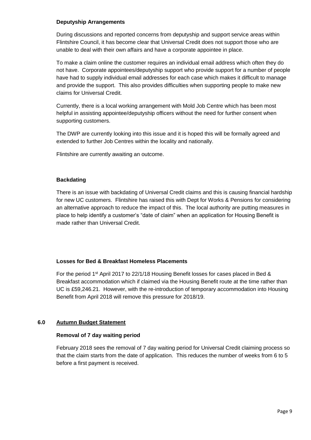### **Deputyship Arrangements**

During discussions and reported concerns from deputyship and support service areas within Flintshire Council, it has become clear that Universal Credit does not support those who are unable to deal with their own affairs and have a corporate appointee in place.

To make a claim online the customer requires an individual email address which often they do not have. Corporate appointees/deputyship support who provide support for a number of people have had to supply individual email addresses for each case which makes it difficult to manage and provide the support. This also provides difficulties when supporting people to make new claims for Universal Credit.

Currently, there is a local working arrangement with Mold Job Centre which has been most helpful in assisting appointee/deputyship officers without the need for further consent when supporting customers.

The DWP are currently looking into this issue and it is hoped this will be formally agreed and extended to further Job Centres within the locality and nationally.

Flintshire are currently awaiting an outcome.

### **Backdating**

There is an issue with backdating of Universal Credit claims and this is causing financial hardship for new UC customers. Flintshire has raised this with Dept for Works & Pensions for considering an alternative approach to reduce the impact of this. The local authority are putting measures in place to help identify a customer's "date of claim" when an application for Housing Benefit is made rather than Universal Credit.

#### **Losses for Bed & Breakfast Homeless Placements**

For the period 1st April 2017 to 22/1/18 Housing Benefit losses for cases placed in Bed & Breakfast accommodation which if claimed via the Housing Benefit route at the time rather than UC is £59,246.21. However, with the re-introduction of temporary accommodation into Housing Benefit from April 2018 will remove this pressure for 2018/19.

### <span id="page-9-0"></span>**6.0 Autumn Budget Statement**

### **Removal of 7 day waiting period**

February 2018 sees the removal of 7 day waiting period for Universal Credit claiming process so that the claim starts from the date of application. This reduces the number of weeks from 6 to 5 before a first payment is received.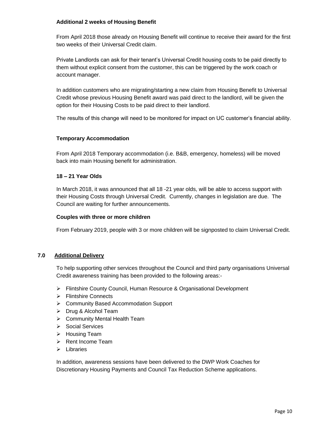### **Additional 2 weeks of Housing Benefit**

From April 2018 those already on Housing Benefit will continue to receive their award for the first two weeks of their Universal Credit claim.

Private Landlords can ask for their tenant's Universal Credit housing costs to be paid directly to them without explicit consent from the customer, this can be triggered by the work coach or account manager.

In addition customers who are migrating/starting a new claim from Housing Benefit to Universal Credit whose previous Housing Benefit award was paid direct to the landlord, will be given the option for their Housing Costs to be paid direct to their landlord.

The results of this change will need to be monitored for impact on UC customer's financial ability.

### **Temporary Accommodation**

From April 2018 Temporary accommodation (i.e. B&B, emergency, homeless) will be moved back into main Housing benefit for administration.

### **18 – 21 Year Olds**

In March 2018, it was announced that all 18 -21 year olds, will be able to access support with their Housing Costs through Universal Credit. Currently, changes in legislation are due. The Council are waiting for further announcements.

### **Couples with three or more children**

From February 2019, people with 3 or more children will be signposted to claim Universal Credit.

#### <span id="page-10-0"></span>**7.0 Additional Delivery**

To help supporting other services throughout the Council and third party organisations Universal Credit awareness training has been provided to the following areas:-

- Flintshire County Council, Human Resource & Organisational Development
- **▶ Flintshire Connects**
- ▶ Community Based Accommodation Support
- > Drug & Alcohol Team
- ▶ Community Mental Health Team
- ▶ Social Services
- $\triangleright$  Housing Team
- $\triangleright$  Rent Income Team
- $\triangleright$  Libraries

In addition, awareness sessions have been delivered to the DWP Work Coaches for Discretionary Housing Payments and Council Tax Reduction Scheme applications.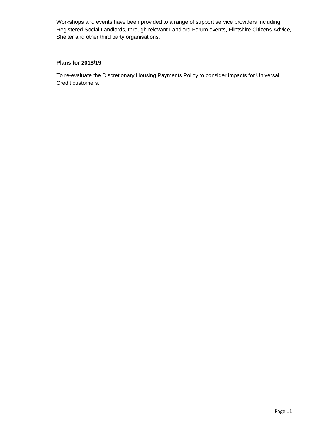Workshops and events have been provided to a range of support service providers including Registered Social Landlords, through relevant Landlord Forum events, Flintshire Citizens Advice, Shelter and other third party organisations.

### **Plans for 2018/19**

To re-evaluate the Discretionary Housing Payments Policy to consider impacts for Universal Credit customers.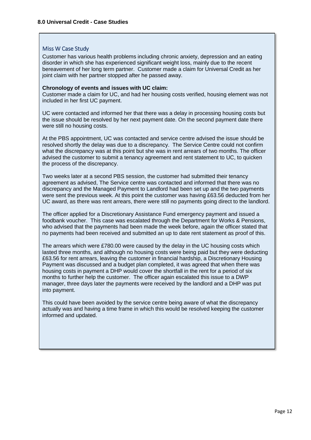#### <span id="page-12-0"></span>Miss W Case Study

Customer has various health problems including chronic anxiety, depression and an eating disorder in which she has experienced significant weight loss, mainly due to the recent bereavement of her long term partner. Customer made a claim for Universal Credit as her joint claim with her partner stopped after he passed away.

#### **Chronology of events and issues with UC claim:**

Customer made a claim for UC, and had her housing costs verified, housing element was not included in her first UC payment.

UC were contacted and informed her that there was a delay in processing housing costs but the issue should be resolved by her next payment date. On the second payment date there were still no housing costs.

At the PBS appointment, UC was contacted and service centre advised the issue should be resolved shortly the delay was due to a discrepancy. The Service Centre could not confirm what the discrepancy was at this point but she was in rent arrears of two months. The officer advised the customer to submit a tenancy agreement and rent statement to UC, to quicken the process of the discrepancy.

Two weeks later at a second PBS session, the customer had submitted their tenancy agreement as advised, The Service centre was contacted and informed that there was no discrepancy and the Managed Payment to Landlord had been set up and the two payments were sent the previous week. At this point the customer was having £63.56 deducted from her UC award, as there was rent arrears, there were still no payments going direct to the landlord.

The officer applied for a Discretionary Assistance Fund emergency payment and issued a foodbank voucher. This case was escalated through the Department for Works & Pensions, who advised that the payments had been made the week before, again the officer stated that no payments had been received and submitted an up to date rent statement as proof of this.

The arrears which were £780.00 were caused by the delay in the UC housing costs which lasted three months, and although no housing costs were being paid but they were deducting £63.56 for rent arrears, leaving the customer in financial hardship, a Discretionary Housing Payment was discussed and a budget plan completed, it was agreed that when there was housing costs in payment a DHP would cover the shortfall in the rent for a period of six months to further help the customer. The officer again escalated this issue to a DWP manager, three days later the payments were received by the landlord and a DHP was put into payment.

This could have been avoided by the service centre being aware of what the discrepancy actually was and having a time frame in which this would be resolved keeping the customer informed and updated.